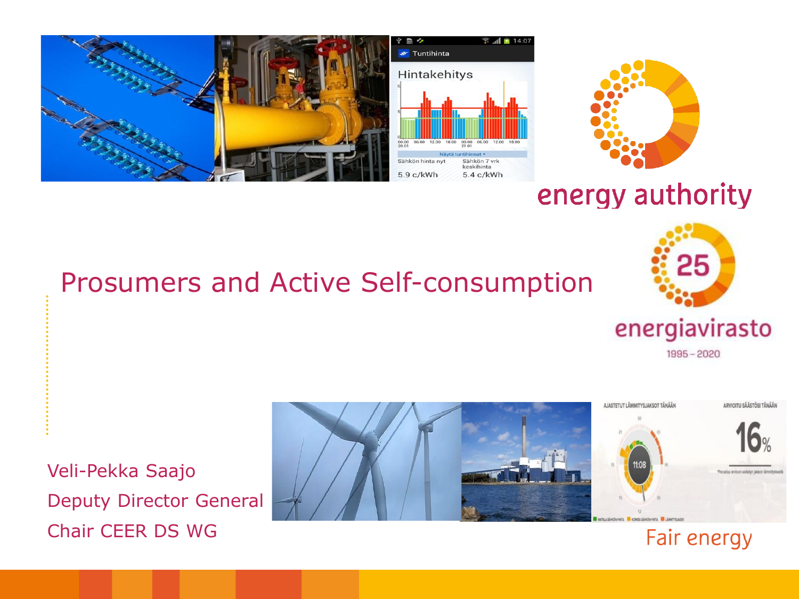



### energy authority

#### Prosumers and Active Self-consumption



 $1995 - 2020$ 

Fair energy

Veli-Pekka Saajo Deputy Director General Chair CEER DS WG

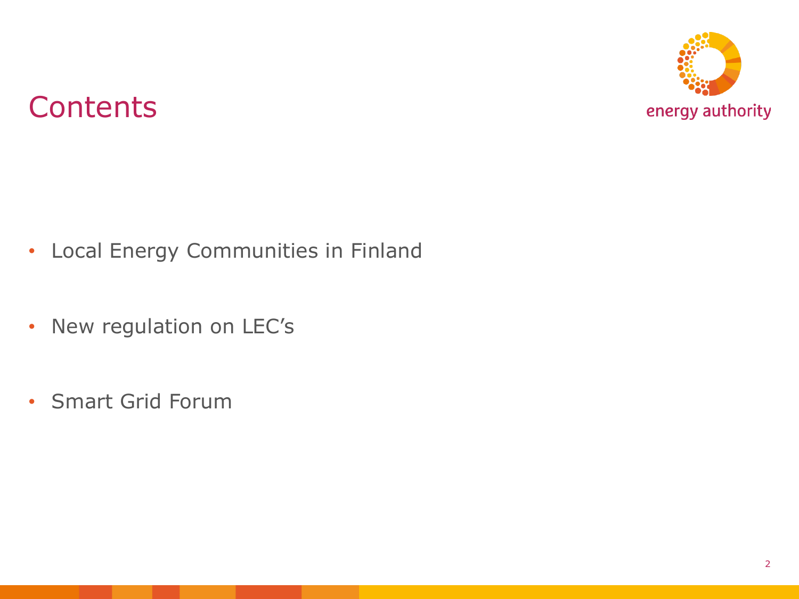

### **Contents**

- Local Energy Communities in Finland
- New regulation on LEC's
- Smart Grid Forum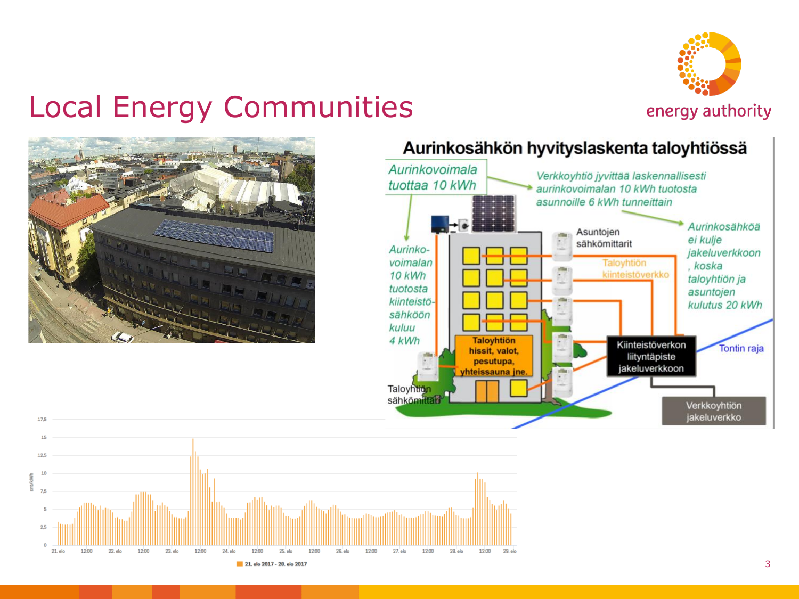

### Local Energy Communities



17,5



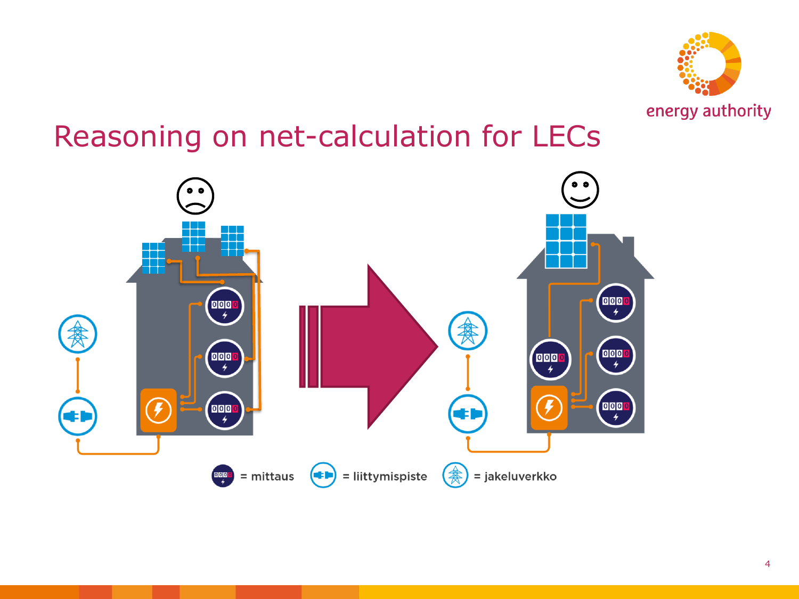

### Reasoning on net-calculation for LECs

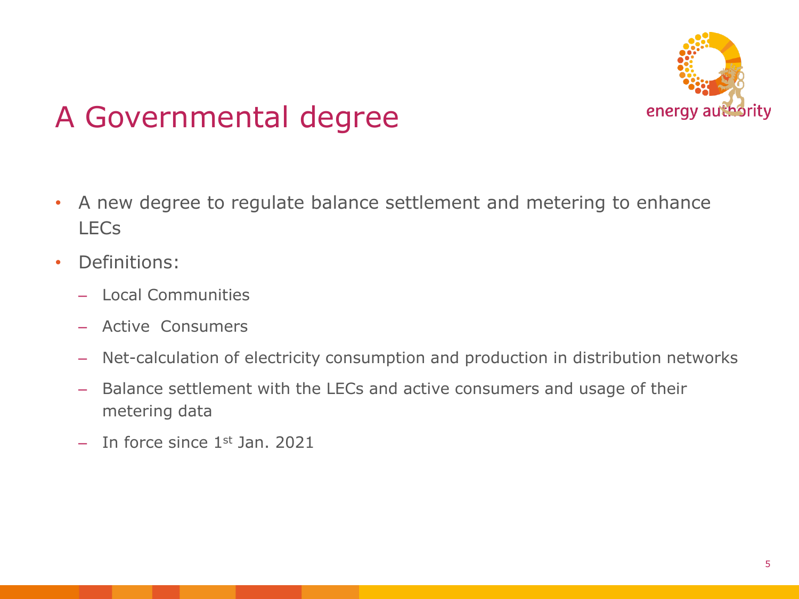

## A Governmental degree

- A new degree to regulate balance settlement and metering to enhance LECs
- Definitions:
	- Local Communities
	- Active Consumers
	- Net-calculation of electricity consumption and production in distribution networks
	- Balance settlement with the LECs and active consumers and usage of their metering data
	- $-$  In force since 1<sup>st</sup> Jan. 2021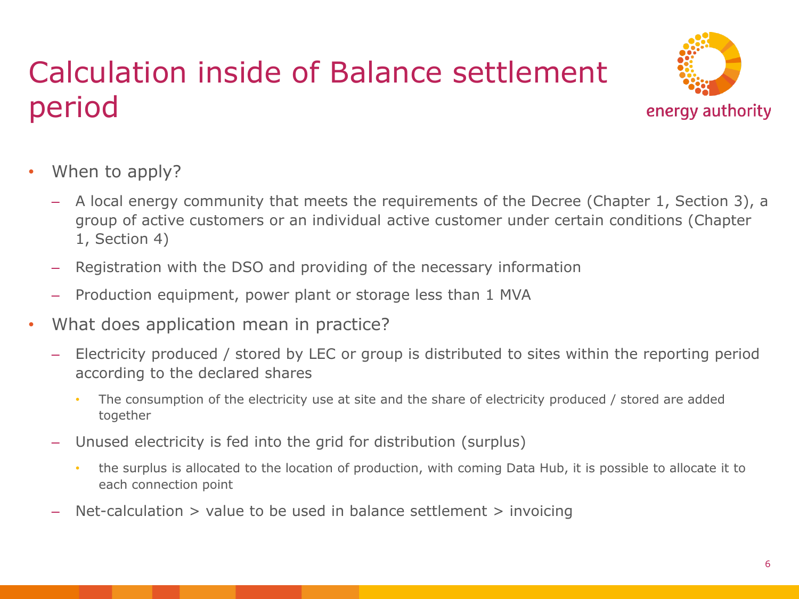## Calculation inside of Balance settlement period



- When to apply?
	- A local energy community that meets the requirements of the Decree (Chapter 1, Section 3), a group of active customers or an individual active customer under certain conditions (Chapter 1, Section 4)
	- Registration with the DSO and providing of the necessary information
	- Production equipment, power plant or storage less than 1 MVA
- What does application mean in practice?
	- Electricity produced / stored by LEC or group is distributed to sites within the reporting period according to the declared shares
		- The consumption of the electricity use at site and the share of electricity produced / stored are added together
	- Unused electricity is fed into the grid for distribution (surplus)
		- the surplus is allocated to the location of production, with coming Data Hub, it is possible to allocate it to each connection point
	- Net-calculation  $>$  value to be used in balance settlement  $>$  invoicing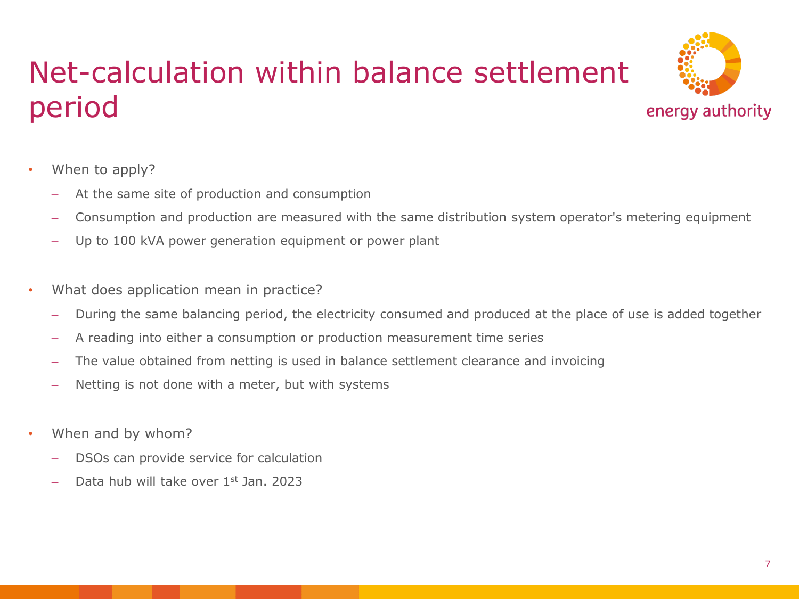## Net-calculation within balance settlement period



- When to apply?
	- At the same site of production and consumption
	- Consumption and production are measured with the same distribution system operator's metering equipment
	- Up to 100 kVA power generation equipment or power plant
- What does application mean in practice?
	- During the same balancing period, the electricity consumed and produced at the place of use is added together
	- A reading into either a consumption or production measurement time series
	- The value obtained from netting is used in balance settlement clearance and invoicing
	- Netting is not done with a meter, but with systems
- When and by whom?
	- DSOs can provide service for calculation
	- Data hub will take over 1st Jan. 2023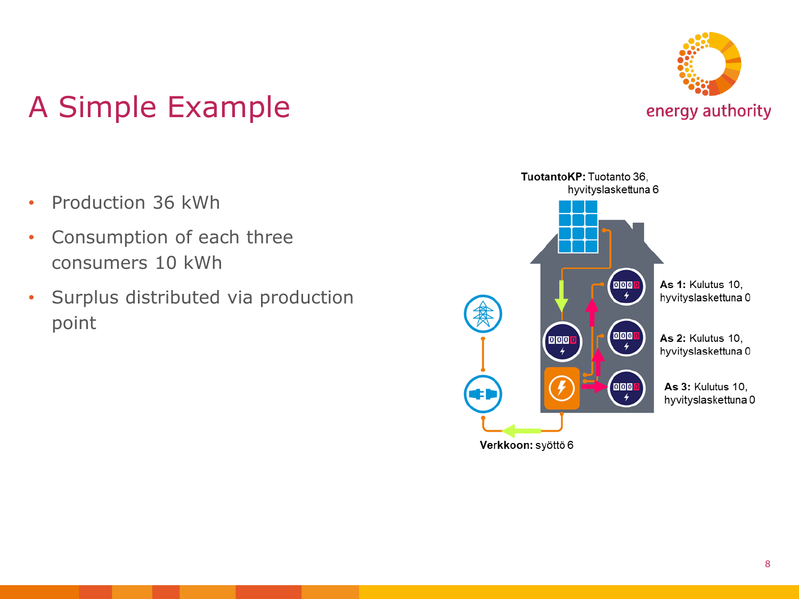

## A Simple Example

- Production 36 kWh
- Consumption of each three consumers 10 kWh
- Surplus distributed via production point

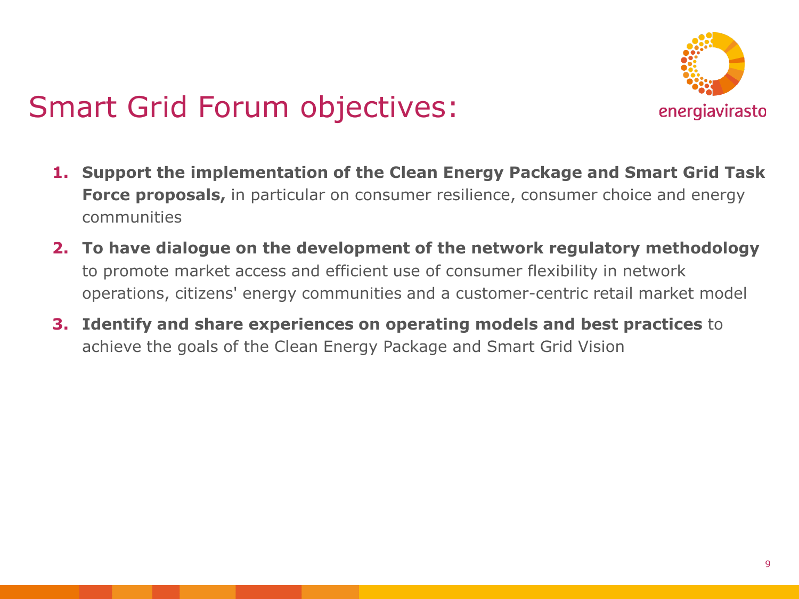

## Smart Grid Forum objectives:

- **1. Support the implementation of the Clean Energy Package and Smart Grid Task Force proposals,** in particular on consumer resilience, consumer choice and energy communities
- **2. To have dialogue on the development of the network regulatory methodology**  to promote market access and efficient use of consumer flexibility in network operations, citizens' energy communities and a customer-centric retail market model
- **3. Identify and share experiences on operating models and best practices** to achieve the goals of the Clean Energy Package and Smart Grid Vision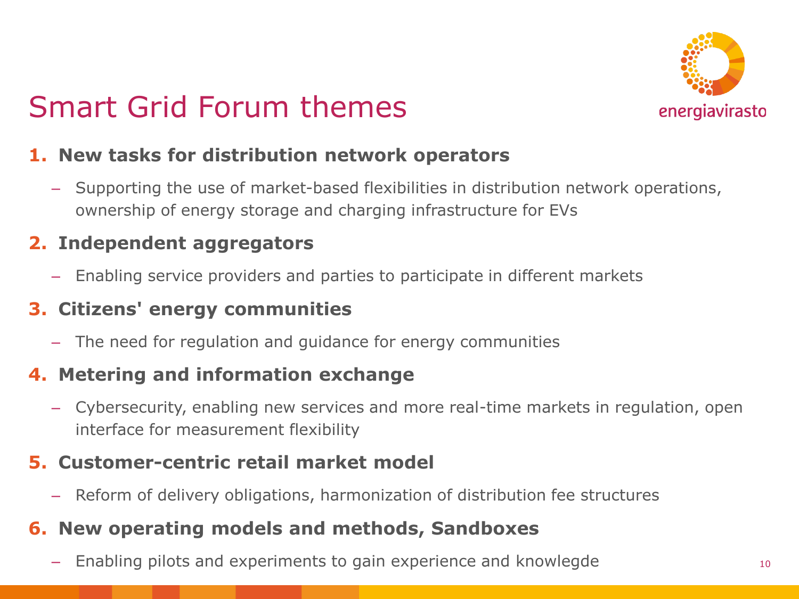

## Smart Grid Forum themes

#### **1. New tasks for distribution network operators**

– Supporting the use of market-based flexibilities in distribution network operations, ownership of energy storage and charging infrastructure for EVs

#### **2. Independent aggregators**

– Enabling service providers and parties to participate in different markets

#### **3. Citizens' energy communities**

– The need for regulation and guidance for energy communities

#### **4. Metering and information exchange**

– Cybersecurity, enabling new services and more real-time markets in regulation, open interface for measurement flexibility

#### **5. Customer-centric retail market model**

– Reform of delivery obligations, harmonization of distribution fee structures

#### **6. New operating models and methods, Sandboxes**

Enabling pilots and experiments to gain experience and knowlegde 10 metal of 10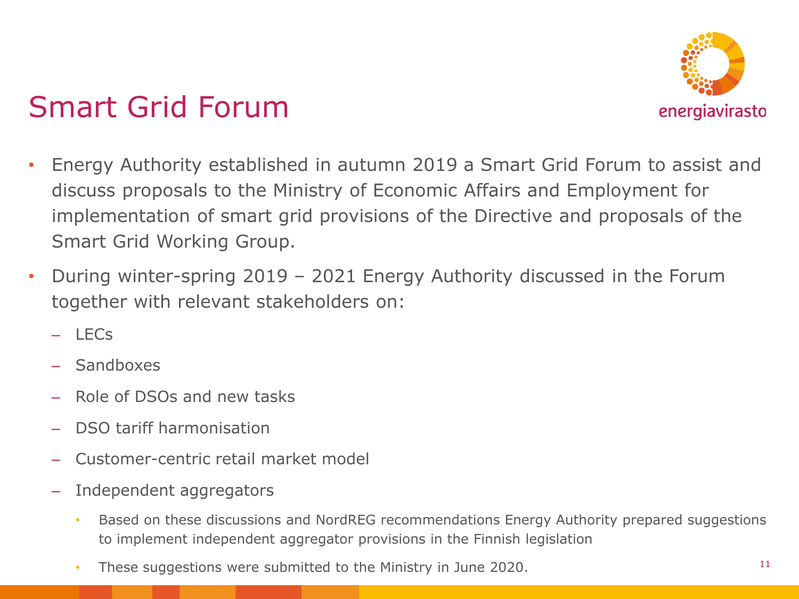

## Smart Grid Forum

- Energy Authority established in autumn 2019 a Smart Grid Forum to assist and discuss proposals to the Ministry of Economic Affairs and Employment for implementation of smart grid provisions of the Directive and proposals of the Smart Grid Working Group.
- During winter-spring 2019 2021 Energy Authority discussed in the Forum together with relevant stakeholders on:
	- $-$  LECs
	- **Sandboxes**
	- Role of DSOs and new tasks
	- DSO tariff harmonisation
	- Customer-centric retail market model
	- Independent aggregators
		- Based on these discussions and NordREG recommendations Energy Authority prepared suggestions to implement independent aggregator provisions in the Finnish legislation
		- These suggestions were submitted to the Ministry in June 2020.